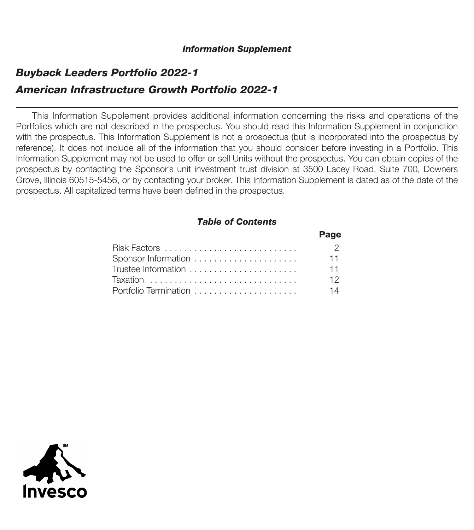# *Buyback Leaders Portfolio 2022-1 American Infrastructure Growth Portfolio 2022-1*

This Information Supplement provides additional information concerning the risks and operations of the Portfolios which are not described in the prospectus. You should read this Information Supplement in conjunction with the prospectus. This Information Supplement is not a prospectus (but is incorporated into the prospectus by reference). It does not include all of the information that you should consider before investing in a Portfolio. This Information Supplement may not be used to offer or sell Units without the prospectus. You can obtain copies of the prospectus by contacting the Sponsor's unit investment trust division at 3500 Lacey Road, Suite 700, Downers Grove, Illinois 60515-5456, or by contacting your broker. This Information Supplement is dated as of the date of the prospectus. All capitalized terms have been defined in the prospectus.

## *Table of Contents*

|                       | Page           |
|-----------------------|----------------|
|                       | $\overline{2}$ |
|                       | $-11$          |
|                       | $-11$          |
|                       | 12.            |
| Portfolio Termination | 14             |

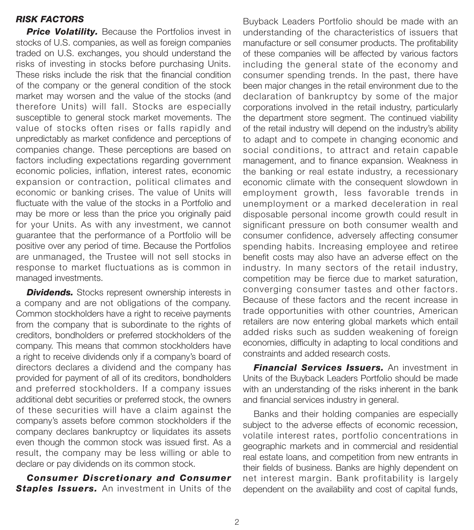## *RISK FACTORS*

**Price Volatility.** Because the Portfolios invest in stocks of U.S. companies, as well as foreign companies traded on U.S. exchanges, you should understand the risks of investing in stocks before purchasing Units. These risks include the risk that the financial condition of the company or the general condition of the stock market may worsen and the value of the stocks (and therefore Units) will fall. Stocks are especially susceptible to general stock market movements. The value of stocks often rises or falls rapidly and unpredictably as market confidence and perceptions of companies change. These perceptions are based on factors including expectations regarding government economic policies, inflation, interest rates, economic expansion or contraction, political climates and economic or banking crises. The value of Units will fluctuate with the value of the stocks in a Portfolio and may be more or less than the price you originally paid for your Units. As with any investment, we cannot guarantee that the performance of a Portfolio will be positive over any period of time. Because the Portfolios are unmanaged, the Trustee will not sell stocks in response to market fluctuations as is common in managed investments.

**Dividends.** Stocks represent ownership interests in a company and are not obligations of the company. Common stockholders have a right to receive payments from the company that is subordinate to the rights of creditors, bondholders or preferred stockholders of the company. This means that common stockholders have a right to receive dividends only if a company's board of directors declares a dividend and the company has provided for payment of all of its creditors, bondholders and preferred stockholders. If a company issues additional debt securities or preferred stock, the owners of these securities will have a claim against the company's assets before common stockholders if the company declares bankruptcy or liquidates its assets even though the common stock was issued first. As a result, the company may be less willing or able to declare or pay dividends on its common stock.

*Consumer Discretionary and Consumer* **Staples Issuers.** An investment in Units of the

Buyback Leaders Portfolio should be made with an understanding of the characteristics of issuers that manufacture or sell consumer products. The profitability of these companies will be affected by various factors including the general state of the economy and consumer spending trends. In the past, there have been major changes in the retail environment due to the declaration of bankruptcy by some of the major corporations involved in the retail industry, particularly the department store segment. The continued viability of the retail industry will depend on the industry's ability to adapt and to compete in changing economic and social conditions, to attract and retain capable management, and to finance expansion. Weakness in the banking or real estate industry, a recessionary economic climate with the consequent slowdown in employment growth, less favorable trends in unemployment or a marked deceleration in real disposable personal income growth could result in significant pressure on both consumer wealth and consumer confidence, adversely affecting consumer spending habits. Increasing employee and retiree benefit costs may also have an adverse effect on the industry. In many sectors of the retail industry, competition may be fierce due to market saturation, converging consumer tastes and other factors. Because of these factors and the recent increase in trade opportunities with other countries, American retailers are now entering global markets which entail added risks such as sudden weakening of foreign economies, difficulty in adapting to local conditions and constraints and added research costs.

*Financial Services Issuers.* An investment in Units of the Buyback Leaders Portfolio should be made with an understanding of the risks inherent in the bank and financial services industry in general.

Banks and their holding companies are especially subject to the adverse effects of economic recession, volatile interest rates, portfolio concentrations in geographic markets and in commercial and residential real estate loans, and competition from new entrants in their fields of business. Banks are highly dependent on net interest margin. Bank profitability is largely dependent on the availability and cost of capital funds,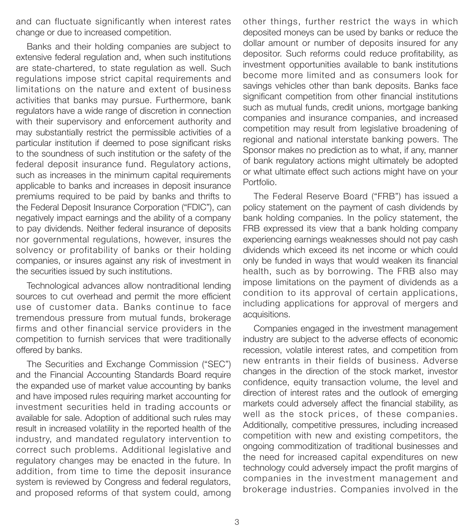and can fluctuate significantly when interest rates change or due to increased competition.

Banks and their holding companies are subject to extensive federal regulation and, when such institutions are state-chartered, to state regulation as well. Such regulations impose strict capital requirements and limitations on the nature and extent of business activities that banks may pursue. Furthermore, bank regulators have a wide range of discretion in connection with their supervisory and enforcement authority and may substantially restrict the permissible activities of a particular institution if deemed to pose significant risks to the soundness of such institution or the safety of the federal deposit insurance fund. Regulatory actions, such as increases in the minimum capital requirements applicable to banks and increases in deposit insurance premiums required to be paid by banks and thrifts to the Federal Deposit Insurance Corporation ("FDIC"), can negatively impact earnings and the ability of a company to pay dividends. Neither federal insurance of deposits nor governmental regulations, however, insures the solvency or profitability of banks or their holding companies, or insures against any risk of investment in the securities issued by such institutions.

Technological advances allow nontraditional lending sources to cut overhead and permit the more efficient use of customer data. Banks continue to face tremendous pressure from mutual funds, brokerage firms and other financial service providers in the competition to furnish services that were traditionally offered by banks.

The Securities and Exchange Commission ("SEC") and the Financial Accounting Standards Board require the expanded use of market value accounting by banks and have imposed rules requiring market accounting for investment securities held in trading accounts or available for sale. Adoption of additional such rules may result in increased volatility in the reported health of the industry, and mandated regulatory intervention to correct such problems. Additional legislative and regulatory changes may be enacted in the future. In addition, from time to time the deposit insurance system is reviewed by Congress and federal regulators, and proposed reforms of that system could, among

other things, further restrict the ways in which deposited moneys can be used by banks or reduce the dollar amount or number of deposits insured for any depositor. Such reforms could reduce profitability, as investment opportunities available to bank institutions become more limited and as consumers look for savings vehicles other than bank deposits. Banks face significant competition from other financial institutions such as mutual funds, credit unions, mortgage banking companies and insurance companies, and increased competition may result from legislative broadening of regional and national interstate banking powers. The Sponsor makes no prediction as to what, if any, manner of bank regulatory actions might ultimately be adopted or what ultimate effect such actions might have on your Portfolio.

The Federal Reserve Board ("FRB") has issued a policy statement on the payment of cash dividends by bank holding companies. In the policy statement, the FRB expressed its view that a bank holding company experiencing earnings weaknesses should not pay cash dividends which exceed its net income or which could only be funded in ways that would weaken its financial health, such as by borrowing. The FRB also may impose limitations on the payment of dividends as a condition to its approval of certain applications, including applications for approval of mergers and acquisitions.

Companies engaged in the investment management industry are subject to the adverse effects of economic recession, volatile interest rates, and competition from new entrants in their fields of business. Adverse changes in the direction of the stock market, investor confidence, equity transaction volume, the level and direction of interest rates and the outlook of emerging markets could adversely affect the financial stability, as well as the stock prices, of these companies. Additionally, competitive pressures, including increased competition with new and existing competitors, the ongoing commoditization of traditional businesses and the need for increased capital expenditures on new technology could adversely impact the profit margins of companies in the investment management and brokerage industries. Companies involved in the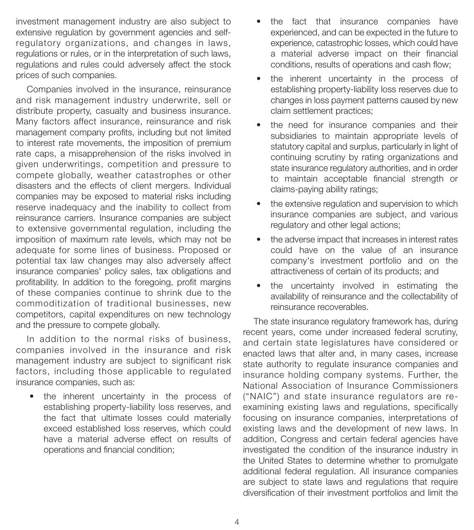investment management industry are also subject to extensive regulation by government agencies and selfregulatory organizations, and changes in laws, regulations or rules, or in the interpretation of such laws, regulations and rules could adversely affect the stock prices of such companies.

Companies involved in the insurance, reinsurance and risk management industry underwrite, sell or distribute property, casualty and business insurance. Many factors affect insurance, reinsurance and risk management company profits, including but not limited to interest rate movements, the imposition of premium rate caps, a misapprehension of the risks involved in given underwritings, competition and pressure to compete globally, weather catastrophes or other disasters and the effects of client mergers. Individual companies may be exposed to material risks including reserve inadequacy and the inability to collect from reinsurance carriers. Insurance companies are subject to extensive governmental regulation, including the imposition of maximum rate levels, which may not be adequate for some lines of business. Proposed or potential tax law changes may also adversely affect insurance companies' policy sales, tax obligations and profitability. In addition to the foregoing, profit margins of these companies continue to shrink due to the commoditization of traditional businesses, new competitors, capital expenditures on new technology and the pressure to compete globally.

In addition to the normal risks of business, companies involved in the insurance and risk management industry are subject to significant risk factors, including those applicable to regulated insurance companies, such as:

the inherent uncertainty in the process of establishing property-liability loss reserves, and the fact that ultimate losses could materially exceed established loss reserves, which could have a material adverse effect on results of operations and financial condition;

- the fact that insurance companies have experienced, and can be expected in the future to experience, catastrophic losses, which could have a material adverse impact on their financial conditions, results of operations and cash flow;
- the inherent uncertainty in the process of establishing property-liability loss reserves due to changes in loss payment patterns caused by new claim settlement practices;
- the need for insurance companies and their subsidiaries to maintain appropriate levels of statutory capital and surplus, particularly in light of continuing scrutiny by rating organizations and state insurance regulatory authorities, and in order to maintain acceptable financial strength or claims-paying ability ratings;
- the extensive regulation and supervision to which insurance companies are subject, and various regulatory and other legal actions;
- the adverse impact that increases in interest rates could have on the value of an insurance company's investment portfolio and on the attractiveness of certain of its products; and
- the uncertainty involved in estimating the availability of reinsurance and the collectability of reinsurance recoverables.

The state insurance regulatory framework has, during recent years, come under increased federal scrutiny, and certain state legislatures have considered or enacted laws that alter and, in many cases, increase state authority to regulate insurance companies and insurance holding company systems. Further, the National Association of Insurance Commissioners ("NAIC") and state insurance regulators are reexamining existing laws and regulations, specifically focusing on insurance companies, interpretations of existing laws and the development of new laws. In addition, Congress and certain federal agencies have investigated the condition of the insurance industry in the United States to determine whether to promulgate additional federal regulation. All insurance companies are subject to state laws and regulations that require diversification of their investment portfolios and limit the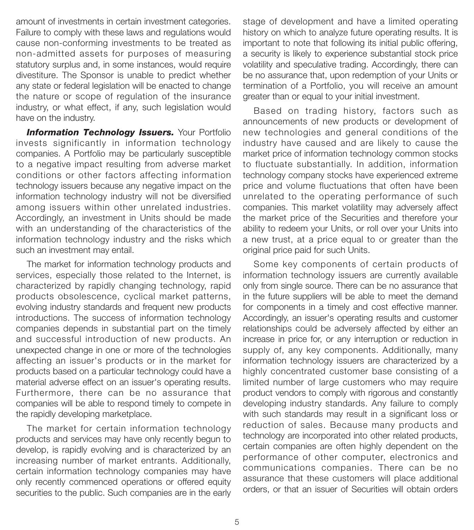amount of investments in certain investment categories. Failure to comply with these laws and regulations would cause non-conforming investments to be treated as non-admitted assets for purposes of measuring statutory surplus and, in some instances, would require divestiture. The Sponsor is unable to predict whether any state or federal legislation will be enacted to change the nature or scope of regulation of the insurance industry, or what effect, if any, such legislation would have on the industry.

**Information Technology Issuers.** Your Portfolio invests significantly in information technology companies. A Portfolio may be particularly susceptible to a negative impact resulting from adverse market conditions or other factors affecting information technology issuers because any negative impact on the information technology industry will not be diversified among issuers within other unrelated industries. Accordingly, an investment in Units should be made with an understanding of the characteristics of the information technology industry and the risks which such an investment may entail.

The market for information technology products and services, especially those related to the Internet, is characterized by rapidly changing technology, rapid products obsolescence, cyclical market patterns, evolving industry standards and frequent new products introductions. The success of information technology companies depends in substantial part on the timely and successful introduction of new products. An unexpected change in one or more of the technologies affecting an issuer's products or in the market for products based on a particular technology could have a material adverse effect on an issuer's operating results. Furthermore, there can be no assurance that companies will be able to respond timely to compete in the rapidly developing marketplace.

The market for certain information technology products and services may have only recently begun to develop, is rapidly evolving and is characterized by an increasing number of market entrants. Additionally, certain information technology companies may have only recently commenced operations or offered equity securities to the public. Such companies are in the early

stage of development and have a limited operating history on which to analyze future operating results. It is important to note that following its initial public offering, a security is likely to experience substantial stock price volatility and speculative trading. Accordingly, there can be no assurance that, upon redemption of your Units or termination of a Portfolio, you will receive an amount greater than or equal to your initial investment.

Based on trading history, factors such as announcements of new products or development of new technologies and general conditions of the industry have caused and are likely to cause the market price of information technology common stocks to fluctuate substantially. In addition, information technology company stocks have experienced extreme price and volume fluctuations that often have been unrelated to the operating performance of such companies. This market volatility may adversely affect the market price of the Securities and therefore your ability to redeem your Units, or roll over your Units into a new trust, at a price equal to or greater than the original price paid for such Units.

Some key components of certain products of information technology issuers are currently available only from single source. There can be no assurance that in the future suppliers will be able to meet the demand for components in a timely and cost effective manner. Accordingly, an issuer's operating results and customer relationships could be adversely affected by either an increase in price for, or any interruption or reduction in supply of, any key components. Additionally, many information technology issuers are characterized by a highly concentrated customer base consisting of a limited number of large customers who may require product vendors to comply with rigorous and constantly developing industry standards. Any failure to comply with such standards may result in a significant loss or reduction of sales. Because many products and technology are incorporated into other related products, certain companies are often highly dependent on the performance of other computer, electronics and communications companies. There can be no assurance that these customers will place additional orders, or that an issuer of Securities will obtain orders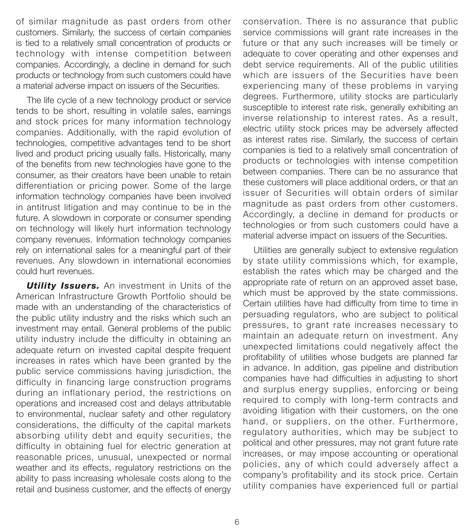of similar magnitude as past orders from other customers. Similarly, the success of certain companies is tied to a relatively small concentration of products or technology with intense competition between companies. Accordingly, a decline in demand for such products or technology from such customers could have a material adverse impact on issuers of the Securities.

The life cycle of a new technology product or service tends to be short, resulting in volatile sales, earnings and stock prices for many information technology companies. Additionally, with the rapid evolution of technologies, competitive advantages tend to be short lived and product pricing usually falls. Historically, many of the benefits from new technologies have gone to the consumer, as their creators have been unable to retain differentiation or pricing power. Some of the large information technology companies have been involved in antitrust litigation and may continue to be in the future. A slowdown in corporate or consumer spending on technology will likely hurt information technology company revenues. Information technology companies rely on international sales for a meaningful part of their revenues. Any slowdown in international economies could hurt revenues.

**Utility Issuers.** An investment in Units of the American Infrastructure Growth Portfolio should be made with an understanding of the characteristics of the public utility industry and the risks which such an investment may entail. General problems of the public utility industry include the difficulty in obtaining an adequate return on invested capital despite frequent increases in rates which have been granted by the public service commissions having jurisdiction, the difficulty in financing large construction programs during an inflationary period, the restrictions on operations and increased cost and delays attributable to environmental, nuclear safety and other regulatory considerations, the difficulty of the capital markets absorbing utility debt and equity securities, the difficulty in obtaining fuel for electric generation at reasonable prices, unusual, unexpected or normal weather and its effects, regulatory restrictions on the ability to pass increasing wholesale costs along to the retail and business customer, and the effects of energy

conservation. There is no assurance that public service commissions will grant rate increases in the future or that any such increases will be timely or adequate to cover operating and other expenses and debt service requirements. All of the public utilities which are issuers of the Securities have been experiencing many of these problems in varying degrees. Furthermore, utility stocks are particularly susceptible to interest rate risk, generally exhibiting an inverse relationship to interest rates. As a result, electric utility stock prices may be adversely affected as interest rates rise. Similarly, the success of certain companies is tied to a relatively small concentration of products or technologies with intense competition between companies. There can be no assurance that these customers will place additional orders, or that an issuer of Securities will obtain orders of similar magnitude as past orders from other customers. Accordingly, a decline in demand for products or technologies or from such customers could have a material adverse impact on issuers of the Securities.

Utilities are generally subject to extensive regulation by state utility commissions which, for example, establish the rates which may be charged and the appropriate rate of return on an approved asset base, which must be approved by the state commissions. Certain utilities have had difficulty from time to time in persuading regulators, who are subject to political pressures, to grant rate increases necessary to maintain an adequate return on investment. Any unexpected limitations could negatively affect the profitability of utilities whose budgets are planned far in advance. In addition, gas pipeline and distribution companies have had difficulties in adjusting to short and surplus energy supplies, enforcing or being required to comply with long-term contracts and avoiding litigation with their customers, on the one hand, or suppliers, on the other. Furthermore, regulatory authorities, which may be subject to political and other pressures, may not grant future rate increases, or may impose accounting or operational policies, any of which could adversely affect a company's profitability and its stock price. Certain utility companies have experienced full or partial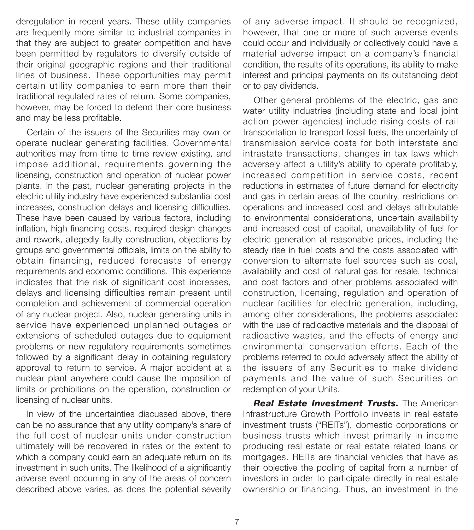deregulation in recent years. These utility companies are frequently more similar to industrial companies in that they are subject to greater competition and have been permitted by regulators to diversify outside of their original geographic regions and their traditional lines of business. These opportunities may permit certain utility companies to earn more than their traditional regulated rates of return. Some companies, however, may be forced to defend their core business and may be less profitable.

Certain of the issuers of the Securities may own or operate nuclear generating facilities. Governmental authorities may from time to time review existing, and impose additional, requirements governing the licensing, construction and operation of nuclear power plants. In the past, nuclear generating projects in the electric utility industry have experienced substantial cost increases, construction delays and licensing difficulties. These have been caused by various factors, including inflation, high financing costs, required design changes and rework, allegedly faulty construction, objections by groups and governmental officials, limits on the ability to obtain financing, reduced forecasts of energy requirements and economic conditions. This experience indicates that the risk of significant cost increases, delays and licensing difficulties remain present until completion and achievement of commercial operation of any nuclear project. Also, nuclear generating units in service have experienced unplanned outages or extensions of scheduled outages due to equipment problems or new regulatory requirements sometimes followed by a significant delay in obtaining regulatory approval to return to service. A major accident at a nuclear plant anywhere could cause the imposition of limits or prohibitions on the operation, construction or licensing of nuclear units.

In view of the uncertainties discussed above, there can be no assurance that any utility company's share of the full cost of nuclear units under construction ultimately will be recovered in rates or the extent to which a company could earn an adequate return on its investment in such units. The likelihood of a significantly adverse event occurring in any of the areas of concern described above varies, as does the potential severity

of any adverse impact. It should be recognized, however, that one or more of such adverse events could occur and individually or collectively could have a material adverse impact on a company's financial condition, the results of its operations, its ability to make interest and principal payments on its outstanding debt or to pay dividends.

Other general problems of the electric, gas and water utility industries (including state and local joint action power agencies) include rising costs of rail transportation to transport fossil fuels, the uncertainty of transmission service costs for both interstate and intrastate transactions, changes in tax laws which adversely affect a utility's ability to operate profitably, increased competition in service costs, recent reductions in estimates of future demand for electricity and gas in certain areas of the country, restrictions on operations and increased cost and delays attributable to environmental considerations, uncertain availability and increased cost of capital, unavailability of fuel for electric generation at reasonable prices, including the steady rise in fuel costs and the costs associated with conversion to alternate fuel sources such as coal, availability and cost of natural gas for resale, technical and cost factors and other problems associated with construction, licensing, regulation and operation of nuclear facilities for electric generation, including, among other considerations, the problems associated with the use of radioactive materials and the disposal of radioactive wastes, and the effects of energy and environmental conservation efforts. Each of the problems referred to could adversely affect the ability of the issuers of any Securities to make dividend payments and the value of such Securities on redemption of your Units.

*Real Estate Investment Trusts.* The American Infrastructure Growth Portfolio invests in real estate investment trusts ("REITs"), domestic corporations or business trusts which invest primarily in income producing real estate or real estate related loans or mortgages. REITs are financial vehicles that have as their objective the pooling of capital from a number of investors in order to participate directly in real estate ownership or financing. Thus, an investment in the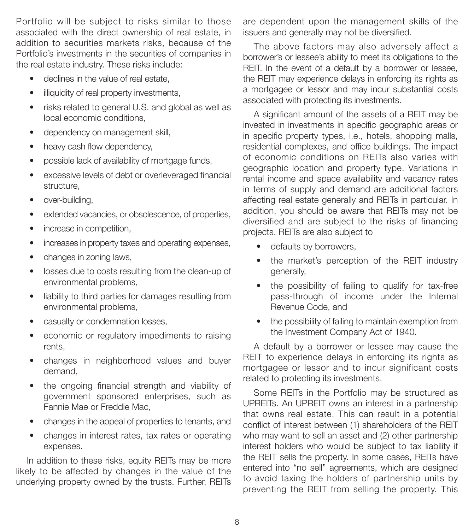Portfolio will be subject to risks similar to those associated with the direct ownership of real estate, in addition to securities markets risks, because of the Portfolio's investments in the securities of companies in the real estate industry. These risks include:

- declines in the value of real estate,
- illiquidity of real property investments,
- risks related to general U.S. and global as well as local economic conditions,
- dependency on management skill,
- heavy cash flow dependency,
- possible lack of availability of mortgage funds,
- excessive levels of debt or overleveraged financial structure,
- over-building,
- extended vacancies, or obsolescence, of properties,
- increase in competition,
- increases in property taxes and operating expenses,
- changes in zoning laws,
- losses due to costs resulting from the clean-up of environmental problems,
- liability to third parties for damages resulting from environmental problems,
- casualty or condemnation losses,
- economic or regulatory impediments to raising rents,
- changes in neighborhood values and buyer demand,
- the ongoing financial strength and viability of government sponsored enterprises, such as Fannie Mae or Freddie Mac,
- changes in the appeal of properties to tenants, and
- changes in interest rates, tax rates or operating expenses.

In addition to these risks, equity REITs may be more likely to be affected by changes in the value of the underlying property owned by the trusts. Further, REITs

are dependent upon the management skills of the issuers and generally may not be diversified.

The above factors may also adversely affect a borrower's or lessee's ability to meet its obligations to the REIT. In the event of a default by a borrower or lessee, the REIT may experience delays in enforcing its rights as a mortgagee or lessor and may incur substantial costs associated with protecting its investments.

A significant amount of the assets of a REIT may be invested in investments in specific geographic areas or in specific property types, i.e., hotels, shopping malls, residential complexes, and office buildings. The impact of economic conditions on REITs also varies with geographic location and property type. Variations in rental income and space availability and vacancy rates in terms of supply and demand are additional factors affecting real estate generally and REITs in particular. In addition, you should be aware that REITs may not be diversified and are subject to the risks of financing projects. REITs are also subject to

- defaults by borrowers,
- the market's perception of the REIT industry generally,
- the possibility of failing to qualify for tax-free pass-through of income under the Internal Revenue Code, and
- the possibility of failing to maintain exemption from the Investment Company Act of 1940.

A default by a borrower or lessee may cause the REIT to experience delays in enforcing its rights as mortgagee or lessor and to incur significant costs related to protecting its investments.

Some REITs in the Portfolio may be structured as UPREITs. An UPREIT owns an interest in a partnership that owns real estate. This can result in a potential conflict of interest between (1) shareholders of the REIT who may want to sell an asset and (2) other partnership interest holders who would be subject to tax liability if the REIT sells the property. In some cases, REITs have entered into "no sell" agreements, which are designed to avoid taxing the holders of partnership units by preventing the REIT from selling the property. This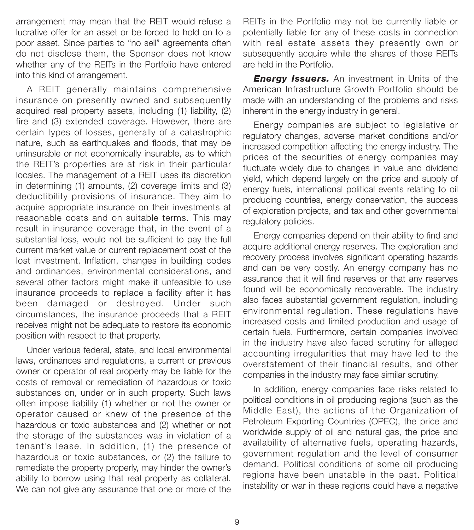arrangement may mean that the REIT would refuse a lucrative offer for an asset or be forced to hold on to a poor asset. Since parties to "no sell" agreements often do not disclose them, the Sponsor does not know whether any of the REITs in the Portfolio have entered into this kind of arrangement.

A REIT generally maintains comprehensive insurance on presently owned and subsequently acquired real property assets, including (1) liability, (2) fire and (3) extended coverage. However, there are certain types of losses, generally of a catastrophic nature, such as earthquakes and floods, that may be uninsurable or not economically insurable, as to which the REIT's properties are at risk in their particular locales. The management of a REIT uses its discretion in determining (1) amounts, (2) coverage limits and (3) deductibility provisions of insurance. They aim to acquire appropriate insurance on their investments at reasonable costs and on suitable terms. This may result in insurance coverage that, in the event of a substantial loss, would not be sufficient to pay the full current market value or current replacement cost of the lost investment. Inflation, changes in building codes and ordinances, environmental considerations, and several other factors might make it unfeasible to use insurance proceeds to replace a facility after it has been damaged or destroyed. Under such circumstances, the insurance proceeds that a REIT receives might not be adequate to restore its economic position with respect to that property.

Under various federal, state, and local environmental laws, ordinances and regulations, a current or previous owner or operator of real property may be liable for the costs of removal or remediation of hazardous or toxic substances on, under or in such property. Such laws often impose liability (1) whether or not the owner or operator caused or knew of the presence of the hazardous or toxic substances and (2) whether or not the storage of the substances was in violation of a tenant's lease. In addition, (1) the presence of hazardous or toxic substances, or (2) the failure to remediate the property properly, may hinder the owner's ability to borrow using that real property as collateral. We can not give any assurance that one or more of the

REITs in the Portfolio may not be currently liable or potentially liable for any of these costs in connection with real estate assets they presently own or subsequently acquire while the shares of those REITs are held in the Portfolio.

*Energy Issuers.* An investment in Units of the American Infrastructure Growth Portfolio should be made with an understanding of the problems and risks inherent in the energy industry in general.

Energy companies are subject to legislative or regulatory changes, adverse market conditions and/or increased competition affecting the energy industry. The prices of the securities of energy companies may fluctuate widely due to changes in value and dividend yield, which depend largely on the price and supply of energy fuels, international political events relating to oil producing countries, energy conservation, the success of exploration projects, and tax and other governmental regulatory policies.

Energy companies depend on their ability to find and acquire additional energy reserves. The exploration and recovery process involves significant operating hazards and can be very costly. An energy company has no assurance that it will find reserves or that any reserves found will be economically recoverable. The industry also faces substantial government regulation, including environmental regulation. These regulations have increased costs and limited production and usage of certain fuels. Furthermore, certain companies involved in the industry have also faced scrutiny for alleged accounting irregularities that may have led to the overstatement of their financial results, and other companies in the industry may face similar scrutiny.

In addition, energy companies face risks related to political conditions in oil producing regions (such as the Middle East), the actions of the Organization of Petroleum Exporting Countries (OPEC), the price and worldwide supply of oil and natural gas, the price and availability of alternative fuels, operating hazards, government regulation and the level of consumer demand. Political conditions of some oil producing regions have been unstable in the past. Political instability or war in these regions could have a negative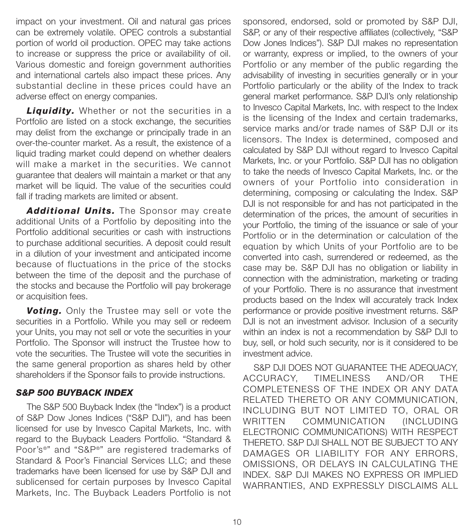impact on your investment. Oil and natural gas prices can be extremely volatile. OPEC controls a substantial portion of world oil production. OPEC may take actions to increase or suppress the price or availability of oil. Various domestic and foreign government authorities and international cartels also impact these prices. Any substantial decline in these prices could have an adverse effect on energy companies.

*Liquidity.* Whether or not the securities in a Portfolio are listed on a stock exchange, the securities may delist from the exchange or principally trade in an over-the-counter market. As a result, the existence of a liquid trading market could depend on whether dealers will make a market in the securities. We cannot guarantee that dealers will maintain a market or that any market will be liquid. The value of the securities could fall if trading markets are limited or absent.

*Additional Units.* The Sponsor may create additional Units of a Portfolio by depositing into the Portfolio additional securities or cash with instructions to purchase additional securities. A deposit could result in a dilution of your investment and anticipated income because of fluctuations in the price of the stocks between the time of the deposit and the purchase of the stocks and because the Portfolio will pay brokerage or acquisition fees.

*Voting.* Only the Trustee may sell or vote the securities in a Portfolio. While you may sell or redeem your Units, you may not sell or vote the securities in your Portfolio. The Sponsor will instruct the Trustee how to vote the securities. The Trustee will vote the securities in the same general proportion as shares held by other shareholders if the Sponsor fails to provide instructions.

## *S&P 500 BUYBACK INDEX*

The S&P 500 Buyback Index (the "Index") is a product of S&P Dow Jones Indices ("S&P DJI"), and has been licensed for use by Invesco Capital Markets, Inc. with regard to the Buyback Leaders Portfolio. "Standard & Poor's®" and "S&P®" are registered trademarks of Standard & Poor's Financial Services LLC; and these trademarks have been licensed for use by S&P DJI and sublicensed for certain purposes by Invesco Capital Markets, Inc. The Buyback Leaders Portfolio is not

sponsored, endorsed, sold or promoted by S&P DJI, S&P, or any of their respective affiliates (collectively, "S&P Dow Jones Indices"). S&P DJI makes no representation or warranty, express or implied, to the owners of your Portfolio or any member of the public regarding the advisability of investing in securities generally or in your Portfolio particularly or the ability of the Index to track general market performance. S&P DJI's only relationship to Invesco Capital Markets, Inc. with respect to the Index is the licensing of the Index and certain trademarks, service marks and/or trade names of S&P DJI or its licensors. The Index is determined, composed and calculated by S&P DJI without regard to Invesco Capital Markets, Inc. or your Portfolio. S&P DJI has no obligation to take the needs of Invesco Capital Markets, Inc. or the owners of your Portfolio into consideration in determining, composing or calculating the Index. S&P DJI is not responsible for and has not participated in the determination of the prices, the amount of securities in your Portfolio, the timing of the issuance or sale of your Portfolio or in the determination or calculation of the equation by which Units of your Portfolio are to be converted into cash, surrendered or redeemed, as the case may be. S&P DJI has no obligation or liability in connection with the administration, marketing or trading of your Portfolio. There is no assurance that investment products based on the Index will accurately track Index performance or provide positive investment returns. S&P DJI is not an investment advisor. Inclusion of a security within an index is not a recommendation by S&P DJI to buy, sell, or hold such security, nor is it considered to be investment advice.

S&P DJI DOES NOT GUARANTEE THE ADEQUACY, ACCURACY, TIMELINESS AND/OR THE COMPLETENESS OF THE INDEX OR ANY DATA RELATED THERETO OR ANY COMMUNICATION, INCLUDING BUT NOT LIMITED TO, ORAL OR WRITTEN COMMUNICATION (INCLUDING ELECTRONIC COMMUNICATIONS) WITH RESPECT THERETO. S&P DJI SHALL NOT BE SUBJECT TO ANY DAMAGES OR LIABILITY FOR ANY ERRORS, OMISSIONS, OR DELAYS IN CALCULATING THE INDEX. S&P DJI MAKES NO EXPRESS OR IMPLIED WARRANTIES, AND EXPRESSLY DISCLAIMS ALL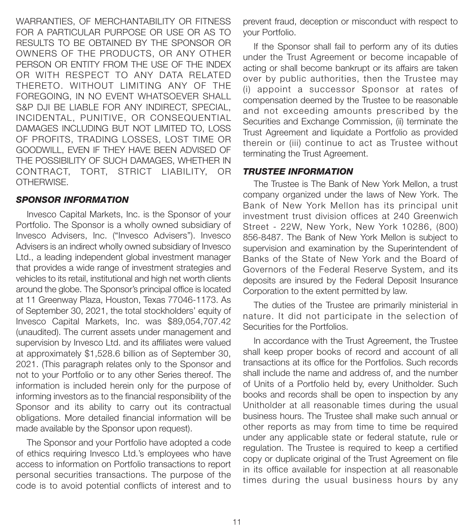WARRANTIES, OF MERCHANTABILITY OR FITNESS FOR A PARTICULAR PURPOSE OR USE OR AS TO RESULTS TO BE OBTAINED BY THE SPONSOR OR OWNERS OF THE PRODUCTS, OR ANY OTHER PERSON OR ENTITY FROM THE USE OF THE INDEX OR WITH RESPECT TO ANY DATA RELATED THERETO. WITHOUT LIMITING ANY OF THE FOREGOING, IN NO EVENT WHATSOEVER SHALL S&P DJI BE LIABLE FOR ANY INDIRECT, SPECIAL, INCIDENTAL, PUNITIVE, OR CONSEQUENTIAL DAMAGES INCLUDING BUT NOT LIMITED TO, LOSS OF PROFITS, TRADING LOSSES, LOST TIME OR GOODWILL, EVEN IF THEY HAVE BEEN ADVISED OF THE POSSIBILITY OF SUCH DAMAGES, WHETHER IN CONTRACT, TORT, STRICT LIABILITY, OR OTHERWISE.

#### *SPONSOR INFORMATION*

Invesco Capital Markets, Inc. is the Sponsor of your Portfolio. The Sponsor is a wholly owned subsidiary of Invesco Advisers, Inc. ("Invesco Advisers"). Invesco Advisers is an indirect wholly owned subsidiary of Invesco Ltd., a leading independent global investment manager that provides a wide range of investment strategies and vehicles to its retail, institutional and high net worth clients around the globe. The Sponsor's principal office is located at 11 Greenway Plaza, Houston, Texas 77046-1173. As of September 30, 2021, the total stockholders' equity of Invesco Capital Markets, Inc. was \$89,054,707.42 (unaudited). The current assets under management and supervision by Invesco Ltd. and its affiliates were valued at approximately \$1,528.6 billion as of September 30, 2021. (This paragraph relates only to the Sponsor and not to your Portfolio or to any other Series thereof. The information is included herein only for the purpose of informing investors as to the financial responsibility of the Sponsor and its ability to carry out its contractual obligations. More detailed financial information will be made available by the Sponsor upon request).

The Sponsor and your Portfolio have adopted a code of ethics requiring Invesco Ltd.'s employees who have access to information on Portfolio transactions to report personal securities transactions. The purpose of the code is to avoid potential conflicts of interest and to

prevent fraud, deception or misconduct with respect to your Portfolio.

If the Sponsor shall fail to perform any of its duties under the Trust Agreement or become incapable of acting or shall become bankrupt or its affairs are taken over by public authorities, then the Trustee may (i) appoint a successor Sponsor at rates of compensation deemed by the Trustee to be reasonable and not exceeding amounts prescribed by the Securities and Exchange Commission, (ii) terminate the Trust Agreement and liquidate a Portfolio as provided therein or (iii) continue to act as Trustee without terminating the Trust Agreement.

#### *TRUSTEE INFORMATION*

The Trustee is The Bank of New York Mellon, a trust company organized under the laws of New York. The Bank of New York Mellon has its principal unit investment trust division offices at 240 Greenwich Street - 22W, New York, New York 10286, (800) 856-8487. The Bank of New York Mellon is subject to supervision and examination by the Superintendent of Banks of the State of New York and the Board of Governors of the Federal Reserve System, and its deposits are insured by the Federal Deposit Insurance Corporation to the extent permitted by law.

The duties of the Trustee are primarily ministerial in nature. It did not participate in the selection of Securities for the Portfolios.

In accordance with the Trust Agreement, the Trustee shall keep proper books of record and account of all transactions at its office for the Portfolios. Such records shall include the name and address of, and the number of Units of a Portfolio held by, every Unitholder. Such books and records shall be open to inspection by any Unitholder at all reasonable times during the usual business hours. The Trustee shall make such annual or other reports as may from time to time be required under any applicable state or federal statute, rule or regulation. The Trustee is required to keep a certified copy or duplicate original of the Trust Agreement on file in its office available for inspection at all reasonable times during the usual business hours by any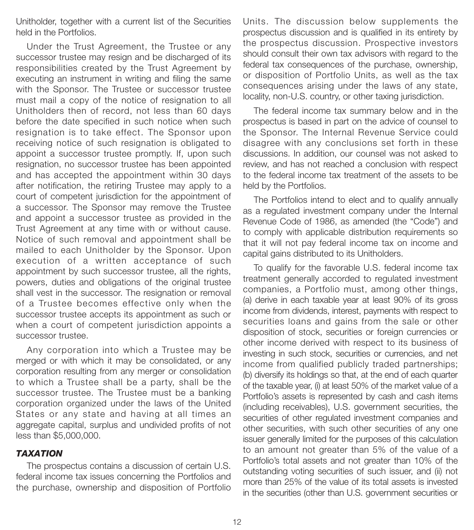Unitholder, together with a current list of the Securities held in the Portfolios.

Under the Trust Agreement, the Trustee or any successor trustee may resign and be discharged of its responsibilities created by the Trust Agreement by executing an instrument in writing and filing the same with the Sponsor. The Trustee or successor trustee must mail a copy of the notice of resignation to all Unitholders then of record, not less than 60 days before the date specified in such notice when such resignation is to take effect. The Sponsor upon receiving notice of such resignation is obligated to appoint a successor trustee promptly. If, upon such resignation, no successor trustee has been appointed and has accepted the appointment within 30 days after notification, the retiring Trustee may apply to a court of competent jurisdiction for the appointment of a successor. The Sponsor may remove the Trustee and appoint a successor trustee as provided in the Trust Agreement at any time with or without cause. Notice of such removal and appointment shall be mailed to each Unitholder by the Sponsor. Upon execution of a written acceptance of such appointment by such successor trustee, all the rights, powers, duties and obligations of the original trustee shall vest in the successor. The resignation or removal of a Trustee becomes effective only when the successor trustee accepts its appointment as such or when a court of competent jurisdiction appoints a successor trustee.

Any corporation into which a Trustee may be merged or with which it may be consolidated, or any corporation resulting from any merger or consolidation to which a Trustee shall be a party, shall be the successor trustee. The Trustee must be a banking corporation organized under the laws of the United States or any state and having at all times an aggregate capital, surplus and undivided profits of not less than \$5,000,000.

## *TAXATION*

The prospectus contains a discussion of certain U.S. federal income tax issues concerning the Portfolios and the purchase, ownership and disposition of Portfolio

Units. The discussion below supplements the prospectus discussion and is qualified in its entirety by the prospectus discussion. Prospective investors should consult their own tax advisors with regard to the federal tax consequences of the purchase, ownership, or disposition of Portfolio Units, as well as the tax consequences arising under the laws of any state, locality, non-U.S. country, or other taxing jurisdiction.

The federal income tax summary below and in the prospectus is based in part on the advice of counsel to the Sponsor. The Internal Revenue Service could disagree with any conclusions set forth in these discussions. In addition, our counsel was not asked to review, and has not reached a conclusion with respect to the federal income tax treatment of the assets to be held by the Portfolios.

The Portfolios intend to elect and to qualify annually as a regulated investment company under the Internal Revenue Code of 1986, as amended (the "Code") and to comply with applicable distribution requirements so that it will not pay federal income tax on income and capital gains distributed to its Unitholders.

To qualify for the favorable U.S. federal income tax treatment generally accorded to regulated investment companies, a Portfolio must, among other things, (a) derive in each taxable year at least 90% of its gross income from dividends, interest, payments with respect to securities loans and gains from the sale or other disposition of stock, securities or foreign currencies or other income derived with respect to its business of investing in such stock, securities or currencies, and net income from qualified publicly traded partnerships; (b) diversify its holdings so that, at the end of each quarter of the taxable year, (i) at least 50% of the market value of a Portfolio's assets is represented by cash and cash items (including receivables), U.S. government securities, the securities of other regulated investment companies and other securities, with such other securities of any one issuer generally limited for the purposes of this calculation to an amount not greater than 5% of the value of a Portfolio's total assets and not greater than 10% of the outstanding voting securities of such issuer, and (ii) not more than 25% of the value of its total assets is invested in the securities (other than U.S. government securities or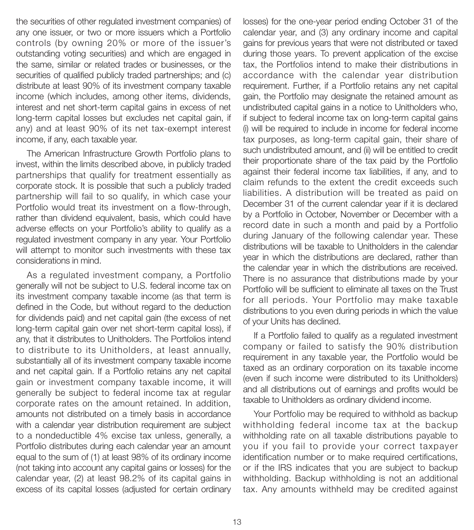the securities of other regulated investment companies) of any one issuer, or two or more issuers which a Portfolio controls (by owning 20% or more of the issuer's outstanding voting securities) and which are engaged in the same, similar or related trades or businesses, or the securities of qualified publicly traded partnerships; and (c) distribute at least 90% of its investment company taxable income (which includes, among other items, dividends, interest and net short-term capital gains in excess of net long-term capital losses but excludes net capital gain, if any) and at least 90% of its net tax-exempt interest income, if any, each taxable year.

The American Infrastructure Growth Portfolio plans to invest, within the limits described above, in publicly traded partnerships that qualify for treatment essentially as corporate stock. It is possible that such a publicly traded partnership will fail to so qualify, in which case your Portfolio would treat its investment on a flow-through, rather than dividend equivalent, basis, which could have adverse effects on your Portfolio's ability to qualify as a regulated investment company in any year. Your Portfolio will attempt to monitor such investments with these tax considerations in mind.

As a regulated investment company, a Portfolio generally will not be subject to U.S. federal income tax on its investment company taxable income (as that term is defined in the Code, but without regard to the deduction for dividends paid) and net capital gain (the excess of net long-term capital gain over net short-term capital loss), if any, that it distributes to Unitholders. The Portfolios intend to distribute to its Unitholders, at least annually, substantially all of its investment company taxable income and net capital gain. If a Portfolio retains any net capital gain or investment company taxable income, it will generally be subject to federal income tax at regular corporate rates on the amount retained. In addition, amounts not distributed on a timely basis in accordance with a calendar year distribution requirement are subject to a nondeductible 4% excise tax unless, generally, a Portfolio distributes during each calendar year an amount equal to the sum of (1) at least 98% of its ordinary income (not taking into account any capital gains or losses) for the calendar year, (2) at least 98.2% of its capital gains in excess of its capital losses (adjusted for certain ordinary

losses) for the one-year period ending October 31 of the calendar year, and (3) any ordinary income and capital gains for previous years that were not distributed or taxed during those years. To prevent application of the excise tax, the Portfolios intend to make their distributions in accordance with the calendar year distribution requirement. Further, if a Portfolio retains any net capital gain, the Portfolio may designate the retained amount as undistributed capital gains in a notice to Unitholders who, if subject to federal income tax on long-term capital gains (i) will be required to include in income for federal income tax purposes, as long-term capital gain, their share of such undistributed amount, and (ii) will be entitled to credit their proportionate share of the tax paid by the Portfolio against their federal income tax liabilities, if any, and to claim refunds to the extent the credit exceeds such liabilities. A distribution will be treated as paid on December 31 of the current calendar year if it is declared by a Portfolio in October, November or December with a record date in such a month and paid by a Portfolio during January of the following calendar year. These distributions will be taxable to Unitholders in the calendar year in which the distributions are declared, rather than the calendar year in which the distributions are received. There is no assurance that distributions made by your Portfolio will be sufficient to eliminate all taxes on the Trust for all periods. Your Portfolio may make taxable distributions to you even during periods in which the value of your Units has declined.

If a Portfolio failed to qualify as a regulated investment company or failed to satisfy the 90% distribution requirement in any taxable year, the Portfolio would be taxed as an ordinary corporation on its taxable income (even if such income were distributed to its Unitholders) and all distributions out of earnings and profits would be taxable to Unitholders as ordinary dividend income.

Your Portfolio may be required to withhold as backup withholding federal income tax at the backup withholding rate on all taxable distributions payable to you if you fail to provide your correct taxpayer identification number or to make required certifications, or if the IRS indicates that you are subject to backup withholding. Backup withholding is not an additional tax. Any amounts withheld may be credited against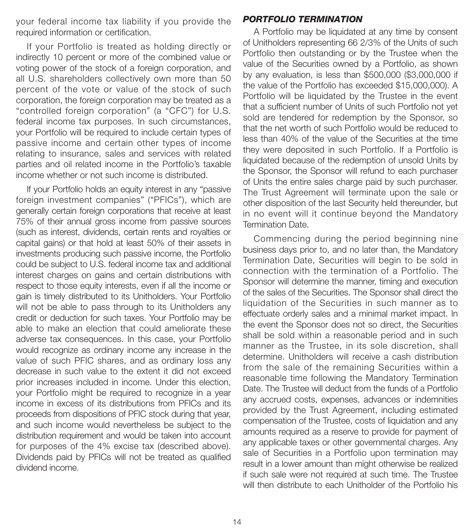your federal income tax liability if you provide the required information or certification.

If your Portfolio is treated as holding directly or indirectly 10 percent or more of the combined value or voting power of the stock of a foreign corporation, and all U.S. shareholders collectively own more than 50 percent of the vote or value of the stock of such corporation, the foreign corporation may be treated as a "controlled foreign corporation" (a "CFC") for U.S. federal income tax purposes. In such circumstances, your Portfolio will be required to include certain types of passive income and certain other types of income relating to insurance, sales and services with related parties and oil related income in the Portfolio's taxable income whether or not such income is distributed.

If your Portfolio holds an equity interest in any "passive foreign investment companies" ("PFICs"), which are generally certain foreign corporations that receive at least 75% of their annual gross income from passive sources (such as interest, dividends, certain rents and royalties or capital gains) or that hold at least 50% of their assets in investments producing such passive income, the Portfolio could be subject to U.S. federal income tax and additional interest charges on gains and certain distributions with respect to those equity interests, even if all the income or gain is timely distributed to its Unitholders. Your Portfolio will not be able to pass through to its Unitholders any credit or deduction for such taxes. Your Portfolio may be able to make an election that could ameliorate these adverse tax consequences. In this case, your Portfolio would recognize as ordinary income any increase in the value of such PFIC shares, and as ordinary loss any decrease in such value to the extent it did not exceed prior increases included in income. Under this election, your Portfolio might be required to recognize in a year income in excess of its distributions from PFICs and its proceeds from dispositions of PFIC stock during that year, and such income would nevertheless be subject to the distribution requirement and would be taken into account for purposes of the 4% excise tax (described above). Dividends paid by PFICs will not be treated as qualified dividend income.

#### *PORTFOLIO TERMINATION*

A Portfolio may be liquidated at any time by consent of Unitholders representing 66 2/3% of the Units of such Portfolio then outstanding or by the Trustee when the value of the Securities owned by a Portfolio, as shown by any evaluation, is less than \$500,000 (\$3,000,000 if the value of the Portfolio has exceeded \$15,000,000). A Portfolio will be liquidated by the Trustee in the event that a sufficient number of Units of such Portfolio not yet sold are tendered for redemption by the Sponsor, so that the net worth of such Portfolio would be reduced to less than 40% of the value of the Securities at the time they were deposited in such Portfolio. If a Portfolio is liquidated because of the redemption of unsold Units by the Sponsor, the Sponsor will refund to each purchaser of Units the entire sales charge paid by such purchaser. The Trust Agreement will terminate upon the sale or other disposition of the last Security held thereunder, but in no event will it continue beyond the Mandatory Termination Date.

Commencing during the period beginning nine business days prior to, and no later than, the Mandatory Termination Date, Securities will begin to be sold in connection with the termination of a Portfolio. The Sponsor will determine the manner, timing and execution of the sales of the Securities. The Sponsor shall direct the liquidation of the Securities in such manner as to effectuate orderly sales and a minimal market impact. In the event the Sponsor does not so direct, the Securities shall be sold within a reasonable period and in such manner as the Trustee, in its sole discretion, shall determine. Unitholders will receive a cash distribution from the sale of the remaining Securities within a reasonable time following the Mandatory Termination Date. The Trustee will deduct from the funds of a Portfolio any accrued costs, expenses, advances or indemnities provided by the Trust Agreement, including estimated compensation of the Trustee, costs of liquidation and any amounts required as a reserve to provide for payment of any applicable taxes or other governmental charges. Any sale of Securities in a Portfolio upon termination may result in a lower amount than might otherwise be realized if such sale were not required at such time. The Trustee will then distribute to each Unitholder of the Portfolio his